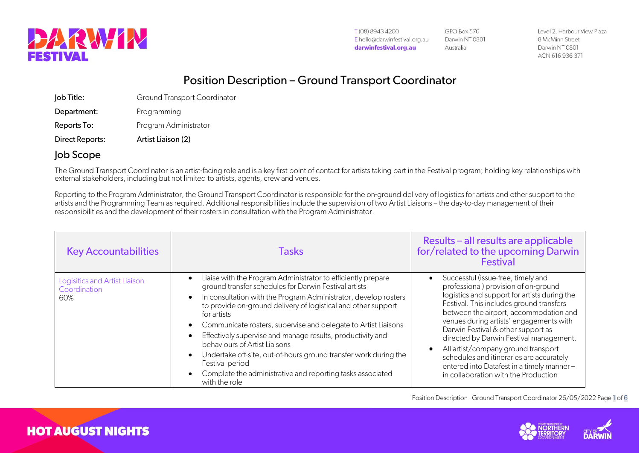

GPO Box 570 Darwin NT 0801 Australia

Level 2, Harbour View Plaza 8 McMinn Street Darwin NT 0801 ACN 616 936 371

## Position Description – Ground Transport Coordinator

| Direct Reports: | Artist Liaison (2)                  |
|-----------------|-------------------------------------|
| Reports To:     | Program Administrator               |
| Department:     | Programming                         |
| Job Title:      | <b>Ground Transport Coordinator</b> |

## Job Scope

**HOT AUGUST NIGHTS** 

The Ground Transport Coordinator is an artist-facing role and is a key first point of contact for artists taking part in the Festival program; holding key relationships with external stakeholders, including but not limited to artists, agents, crew and venues.

Reporting to the Program Administrator, the Ground Transport Coordinator is responsible for the on-ground delivery of logistics for artists and other support to the artists and the Programming Team as required. Additional responsibilities include the supervision of two Artist Liaisons – the day-to-day management of their responsibilities and the development of their rosters in consultation with the Program Administrator.

| <b>Key Accountabilities</b>                          | <b>Tasks</b>                                                                                                                                                                                                                                                                                                                                                                                                                                                                                                                                                                                                    | Results - all results are applicable<br>for/related to the upcoming Darwin<br><b>Festival</b>                                                                                                                                                                                                                                                                                                                                                                                                                        |
|------------------------------------------------------|-----------------------------------------------------------------------------------------------------------------------------------------------------------------------------------------------------------------------------------------------------------------------------------------------------------------------------------------------------------------------------------------------------------------------------------------------------------------------------------------------------------------------------------------------------------------------------------------------------------------|----------------------------------------------------------------------------------------------------------------------------------------------------------------------------------------------------------------------------------------------------------------------------------------------------------------------------------------------------------------------------------------------------------------------------------------------------------------------------------------------------------------------|
| Logisitics and Artist Liaison<br>Coordination<br>60% | Liaise with the Program Administrator to efficiently prepare<br>ground transfer schedules for Darwin Festival artists<br>In consultation with the Program Administrator, develop rosters<br>to provide on-ground delivery of logistical and other support<br>for artists<br>Communicate rosters, supervise and delegate to Artist Liaisons<br>Effectively supervise and manage results, productivity and<br>behaviours of Artist Liaisons<br>Undertake off-site, out-of-hours ground transfer work during the<br>Festival period<br>Complete the administrative and reporting tasks associated<br>with the role | Successful (issue-free, timely and<br>professional) provision of on-ground<br>logistics and support for artists during the<br>Festival. This includes ground transfers<br>between the airport, accommodation and<br>venues during artists' engagements with<br>Darwin Festival & other support as<br>directed by Darwin Festival management.<br>All artist/company ground transport<br>schedules and itineraries are accurately<br>entered into Datafest in a timely manner-<br>in collaboration with the Production |

Position Description - Ground Transport Coordinator 26/05/2022 Page 1 of 6



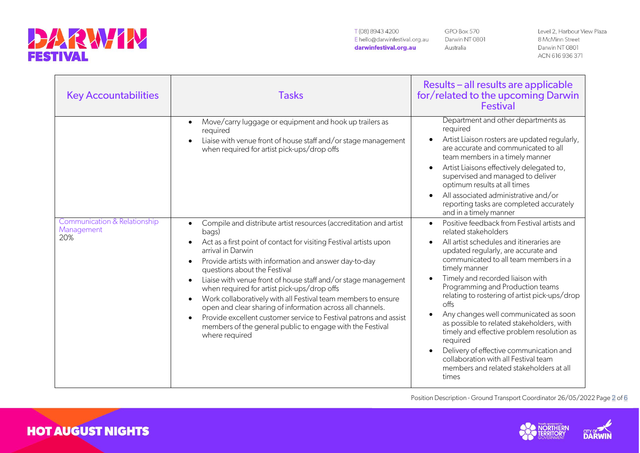

**HOT AUGUST NIGHTS** 

T(08) 8943 4200 E hello@darwinfestival.org.au darwinfestival.org.au

GPO Box 570 Darwin NT 0801 Australia

Level 2, Harbour View Plaza 8 McMinn Street Darwin NT 0801 ACN 616 936 371

| <b>Key Accountabilities</b>                       | <b>Tasks</b>                                                                                                                                                                                                                                                                                                                                                                                                                                                                                                                                                                                                                                                                                               | Results - all results are applicable<br>for/related to the upcoming Darwin<br><b>Festival</b>                                                                                                                                                                                                                                                                                                                                                                                                                                                                                                                                            |
|---------------------------------------------------|------------------------------------------------------------------------------------------------------------------------------------------------------------------------------------------------------------------------------------------------------------------------------------------------------------------------------------------------------------------------------------------------------------------------------------------------------------------------------------------------------------------------------------------------------------------------------------------------------------------------------------------------------------------------------------------------------------|------------------------------------------------------------------------------------------------------------------------------------------------------------------------------------------------------------------------------------------------------------------------------------------------------------------------------------------------------------------------------------------------------------------------------------------------------------------------------------------------------------------------------------------------------------------------------------------------------------------------------------------|
|                                                   | Move/carry luggage or equipment and hook up trailers as<br>required<br>Liaise with venue front of house staff and/or stage management<br>$\bullet$<br>when required for artist pick-ups/drop offs                                                                                                                                                                                                                                                                                                                                                                                                                                                                                                          | Department and other departments as<br>required<br>Artist Liaison rosters are updated regularly,<br>are accurate and communicated to all<br>team members in a timely manner<br>Artist Liaisons effectively delegated to,<br>supervised and managed to deliver<br>optimum results at all times<br>All associated administrative and/or<br>reporting tasks are completed accurately<br>and in a timely manner                                                                                                                                                                                                                              |
| Communication & Relationship<br>Management<br>20% | Compile and distribute artist resources (accreditation and artist<br>$\bullet$<br>bags)<br>Act as a first point of contact for visiting Festival artists upon<br>arrival in Darwin<br>Provide artists with information and answer day-to-day<br>$\bullet$<br>questions about the Festival<br>Liaise with venue front of house staff and/or stage management<br>when required for artist pick-ups/drop offs<br>Work collaboratively with all Festival team members to ensure<br>$\bullet$<br>open and clear sharing of information across all channels.<br>Provide excellent customer service to Festival patrons and assist<br>members of the general public to engage with the Festival<br>where required | Positive feedback from Festival artists and<br>related stakeholders<br>All artist schedules and itineraries are<br>updated regularly, are accurate and<br>communicated to all team members in a<br>timely manner<br>Timely and recorded liaison with<br>Programming and Production teams<br>relating to rostering of artist pick-ups/drop<br>offs<br>Any changes well communicated as soon<br>as possible to related stakeholders, with<br>timely and effective problem resolution as<br>required<br>Delivery of effective communication and<br>collaboration with all Festival team<br>members and related stakeholders at all<br>times |

Position Description - Ground Transport Coordinator 26/05/2022 Page 2 of 6



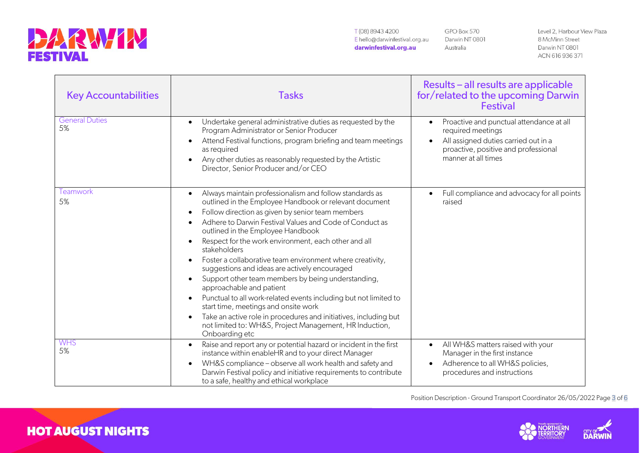

GPO Box 570 Darwin NT 0801 Australia

Level 2, Harbour View Plaza 8 McMinn Street Darwin NT 0801 ACN 616 936 371

| <b>Key Accountabilities</b> | <b>Tasks</b>                                                                                                                                                                                                                                                                                                                                                                                                                                                                                                                                                                                                                                                                                                                                                                                                                                                                                  | Results – all results are applicable<br>for/related to the upcoming Darwin<br><b>Festival</b>                                                                        |
|-----------------------------|-----------------------------------------------------------------------------------------------------------------------------------------------------------------------------------------------------------------------------------------------------------------------------------------------------------------------------------------------------------------------------------------------------------------------------------------------------------------------------------------------------------------------------------------------------------------------------------------------------------------------------------------------------------------------------------------------------------------------------------------------------------------------------------------------------------------------------------------------------------------------------------------------|----------------------------------------------------------------------------------------------------------------------------------------------------------------------|
| <b>General Duties</b><br>5% | Undertake general administrative duties as requested by the<br>Program Administrator or Senior Producer<br>Attend Festival functions, program briefing and team meetings<br>$\bullet$<br>as required<br>Any other duties as reasonably requested by the Artistic<br>Director, Senior Producer and/or CEO                                                                                                                                                                                                                                                                                                                                                                                                                                                                                                                                                                                      | Proactive and punctual attendance at all<br>required meetings<br>All assigned duties carried out in a<br>proactive, positive and professional<br>manner at all times |
| Teamwork<br>5%              | Always maintain professionalism and follow standards as<br>$\bullet$<br>outlined in the Employee Handbook or relevant document<br>Follow direction as given by senior team members<br>٠<br>Adhere to Darwin Festival Values and Code of Conduct as<br>$\bullet$<br>outlined in the Employee Handbook<br>Respect for the work environment, each other and all<br>stakeholders<br>Foster a collaborative team environment where creativity,<br>$\bullet$<br>suggestions and ideas are actively encouraged<br>Support other team members by being understanding,<br>$\bullet$<br>approachable and patient<br>Punctual to all work-related events including but not limited to<br>$\bullet$<br>start time, meetings and onsite work<br>Take an active role in procedures and initiatives, including but<br>$\bullet$<br>not limited to: WH&S, Project Management, HR Induction,<br>Onboarding etc | Full compliance and advocacy for all points<br>raised                                                                                                                |
| <b>WHS</b><br>5%            | Raise and report any or potential hazard or incident in the first<br>$\bullet$<br>instance within enableHR and to your direct Manager<br>WH&S compliance - observe all work health and safety and<br>$\bullet$<br>Darwin Festival policy and initiative requirements to contribute<br>to a safe, healthy and ethical workplace                                                                                                                                                                                                                                                                                                                                                                                                                                                                                                                                                                | All WH&S matters raised with your<br>$\bullet$<br>Manager in the first instance<br>Adherence to all WH&S policies,<br>procedures and instructions                    |

Position Description - Ground Transport Coordinator 26/05/2022 Page 3 of 6





**HOT AUGUST NIGHTS**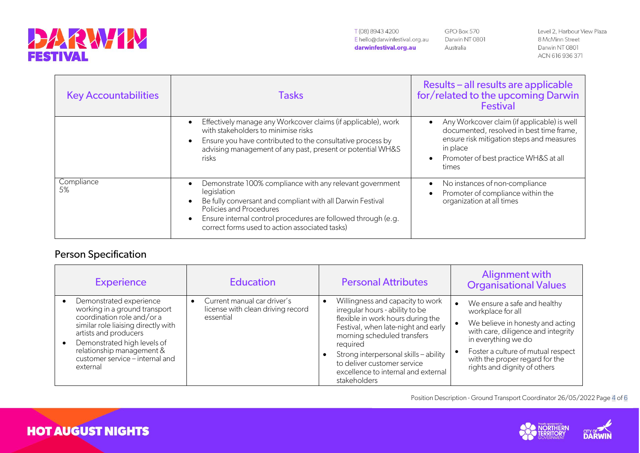

GPO Box 570 Darwin NT 0801 Australia

Level 2, Harbour View Plaza 8 McMinn Street Darwin NT 0801 ACN 616 936 371

| <b>Key Accountabilities</b> | <b>Tasks</b>                                                                                                                                                                                                                                                                                                  | Results - all results are applicable<br>for/related to the upcoming Darwin<br><b>Festival</b>                                                                                                      |
|-----------------------------|---------------------------------------------------------------------------------------------------------------------------------------------------------------------------------------------------------------------------------------------------------------------------------------------------------------|----------------------------------------------------------------------------------------------------------------------------------------------------------------------------------------------------|
|                             | Effectively manage any Workcover claims (if applicable), work<br>$\bullet$<br>with stakeholders to minimise risks<br>Ensure you have contributed to the consultative process by<br>$\bullet$<br>advising management of any past, present or potential WH&S<br><b>risks</b>                                    | Any Workcover claim (if applicable) is well<br>documented, resolved in best time frame,<br>ensure risk mitigation steps and measures<br>in place<br>Promoter of best practice WH&S at all<br>times |
| Compliance<br>5%            | Demonstrate 100% compliance with any relevant government<br>$\bullet$<br>legislation<br>Be fully conversant and compliant with all Darwin Festival<br>Policies and Procedures<br>Ensure internal control procedures are followed through (e.g.<br>$\bullet$<br>correct forms used to action associated tasks) | No instances of non-compliance<br>Promoter of compliance within the<br>organization at all times                                                                                                   |

## Person Specification

**HOT AUGUST NIGHTS** 

| <b>Experience</b>                                                                                                                                                                                                                                                 | <b>Education</b>                                                              | <b>Personal Attributes</b>                                                                                                                                                                                                                                                                                                | <b>Alignment with</b><br><b>Organisational Values</b>                                                                                                                                                                                                      |
|-------------------------------------------------------------------------------------------------------------------------------------------------------------------------------------------------------------------------------------------------------------------|-------------------------------------------------------------------------------|---------------------------------------------------------------------------------------------------------------------------------------------------------------------------------------------------------------------------------------------------------------------------------------------------------------------------|------------------------------------------------------------------------------------------------------------------------------------------------------------------------------------------------------------------------------------------------------------|
| Demonstrated experience<br>working in a ground transport<br>coordination role and/or a<br>similar role liaising directly with<br>artists and producers<br>Demonstrated high levels of<br>relationship management &<br>customer service - internal and<br>external | Current manual car driver's<br>license with clean driving record<br>essential | Willingness and capacity to work<br>irregular hours - ability to be<br>flexible in work hours during the<br>Festival, when late-night and early<br>morning scheduled transfers<br>required<br>Strong interpersonal skills - ability<br>to deliver customer service<br>excellence to internal and external<br>stakeholders | We ensure a safe and healthy<br>workplace for all<br>We believe in honesty and acting<br>with care, diligence and integrity<br>in everything we do<br>Foster a culture of mutual respect<br>with the proper regard for the<br>rights and dignity of others |

Position Description - Ground Transport Coordinator 26/05/2022 Page 4 of 6



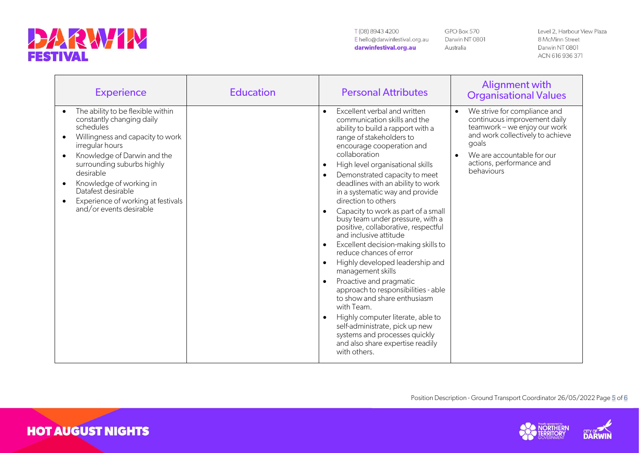

**HOT AUGUST NIGHTS** 

T(08) 8943 4200 E hello@darwinfestival.org.au darwinfestival.org.au

GPO Box 570 Darwin NT 0801 Australia

Level 2, Harbour View Plaza 8 McMinn Street Darwin NT 0801 ACN 616 936 371

| <b>Experience</b>                                                                                                                                                                                                                                                                                                              | <b>Education</b> | <b>Personal Attributes</b>                                                                                                                                                                                                                                                                                                                                                                                                                                                                                                                                                                                                                                                                                                                                                                                                                                                                                                                                                                                | <b>Alignment with</b><br><b>Organisational Values</b>                                                                                                                                                                          |
|--------------------------------------------------------------------------------------------------------------------------------------------------------------------------------------------------------------------------------------------------------------------------------------------------------------------------------|------------------|-----------------------------------------------------------------------------------------------------------------------------------------------------------------------------------------------------------------------------------------------------------------------------------------------------------------------------------------------------------------------------------------------------------------------------------------------------------------------------------------------------------------------------------------------------------------------------------------------------------------------------------------------------------------------------------------------------------------------------------------------------------------------------------------------------------------------------------------------------------------------------------------------------------------------------------------------------------------------------------------------------------|--------------------------------------------------------------------------------------------------------------------------------------------------------------------------------------------------------------------------------|
| The ability to be flexible within<br>constantly changing daily<br>schedules<br>Willingness and capacity to work<br>irregular hours<br>Knowledge of Darwin and the<br>surrounding suburbs highly<br>desirable<br>Knowledge of working in<br>Datafest desirable<br>Experience of working at festivals<br>and/or events desirable |                  | Excellent verbal and written<br>$\bullet$<br>communication skills and the<br>ability to build a rapport with a<br>range of stakeholders to<br>encourage cooperation and<br>collaboration<br>High level organisational skills<br>$\bullet$<br>Demonstrated capacity to meet<br>$\bullet$<br>deadlines with an ability to work<br>in a systematic way and provide<br>direction to others<br>Capacity to work as part of a small<br>$\bullet$<br>busy team under pressure, with a<br>positive, collaborative, respectful<br>and inclusive attitude<br>Excellent decision-making skills to<br>$\bullet$<br>reduce chances of error<br>Highly developed leadership and<br>$\bullet$<br>management skills<br>Proactive and pragmatic<br>$\bullet$<br>approach to responsibilities - able<br>to show and share enthusiasm<br>with Team.<br>Highly computer literate, able to<br>$\bullet$<br>self-administrate, pick up new<br>systems and processes quickly<br>and also share expertise readily<br>with others. | We strive for compliance and<br>$\bullet$<br>continuous improvement daily<br>teamwork - we enjoy our work<br>and work collectively to achieve<br>goals<br>We are accountable for our<br>actions, performance and<br>behaviours |